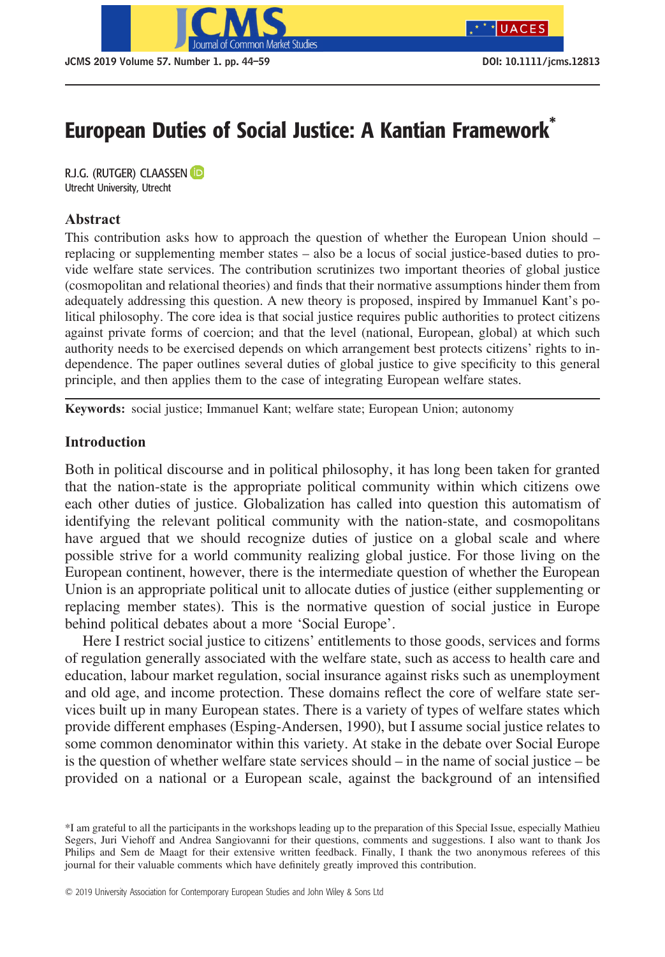

# European Duties of Social Justice: A Kantian Framework<sup>\*</sup>

R.J.G. (RUTGER) CLAASSEN **D**<br>Utrecht University, Utrecht  $U_{\rm p}$ 

## Abstract

This contribution asks how to approach the question of whether the European Union should – replacing or supplementing member states – also be a locus of social justice-based duties to provide welfare state services. The contribution scrutinizes two important theories of global justice (cosmopolitan and relational theories) and finds that their normative assumptions hinder them from adequately addressing this question. A new theory is proposed, inspired by Immanuel Kant's political philosophy. The core idea is that social justice requires public authorities to protect citizens against private forms of coercion; and that the level (national, European, global) at which such authority needs to be exercised depends on which arrangement best protects citizens' rights to independence. The paper outlines several duties of global justice to give specificity to this general principle, and then applies them to the case of integrating European welfare states.

Keywords: social justice; Immanuel Kant; welfare state; European Union; autonomy

## Introduction

Both in political discourse and in political philosophy, it has long been taken for granted that the nation-state is the appropriate political community within which citizens owe each other duties of justice. Globalization has called into question this automatism of identifying the relevant political community with the nation-state, and cosmopolitans have argued that we should recognize duties of justice on a global scale and where possible strive for a world community realizing global justice. For those living on the European continent, however, there is the intermediate question of whether the European Union is an appropriate political unit to allocate duties of justice (either supplementing or replacing member states). This is the normative question of social justice in Europe behind political debates about a more 'Social Europe'.

Here I restrict social justice to citizens' entitlements to those goods, services and forms of regulation generally associated with the welfare state, such as access to health care and education, labour market regulation, social insurance against risks such as unemployment and old age, and income protection. These domains reflect the core of welfare state services built up in many European states. There is a variety of types of welfare states which provide different emphases (Esping-Andersen, 1990), but I assume social justice relates to some common denominator within this variety. At stake in the debate over Social Europe is the question of whether welfare state services should – in the name of social justice – be provided on a national or a European scale, against the background of an intensified

<sup>\*</sup>I am grateful to all the participants in the workshops leading up to the preparation of this Special Issue, especially Mathieu Segers, Juri Viehoff and Andrea Sangiovanni for their questions, comments and suggestions. I also want to thank Jos Philips and Sem de Maagt for their extensive written feedback. Finally, I thank the two anonymous referees of this journal for their valuable comments which have definitely greatly improved this contribution.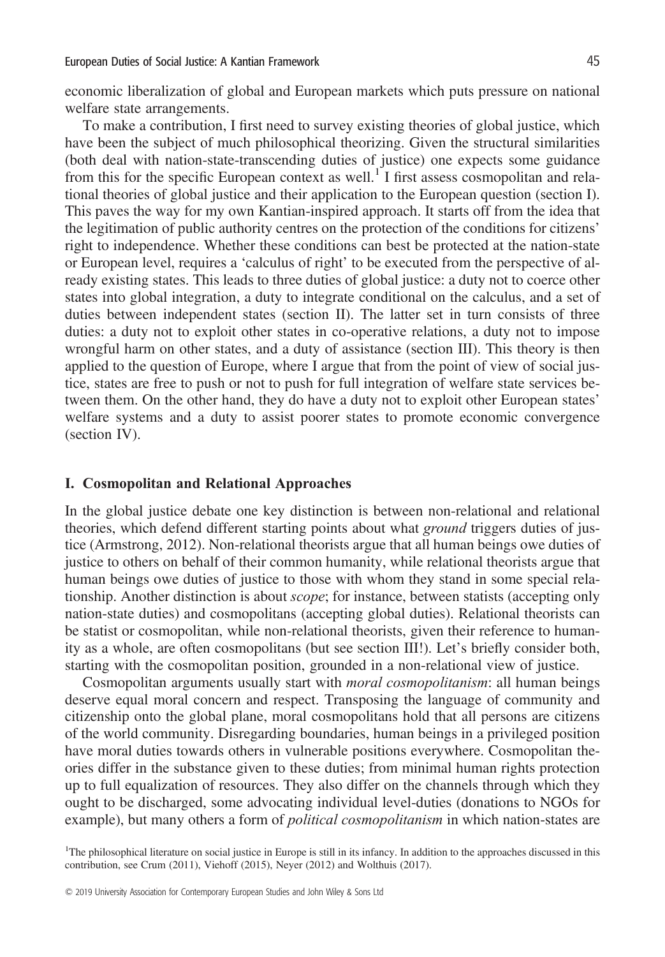economic liberalization of global and European markets which puts pressure on national welfare state arrangements.

To make a contribution, I first need to survey existing theories of global justice, which have been the subject of much philosophical theorizing. Given the structural similarities (both deal with nation-state-transcending duties of justice) one expects some guidance from this for the specific European context as well.<sup>1</sup> I first assess cosmopolitan and relational theories of global justice and their application to the European question (section I). This paves the way for my own Kantian-inspired approach. It starts off from the idea that the legitimation of public authority centres on the protection of the conditions for citizens' right to independence. Whether these conditions can best be protected at the nation-state or European level, requires a 'calculus of right' to be executed from the perspective of already existing states. This leads to three duties of global justice: a duty not to coerce other states into global integration, a duty to integrate conditional on the calculus, and a set of duties between independent states (section II). The latter set in turn consists of three duties: a duty not to exploit other states in co-operative relations, a duty not to impose wrongful harm on other states, and a duty of assistance (section III). This theory is then applied to the question of Europe, where I argue that from the point of view of social justice, states are free to push or not to push for full integration of welfare state services between them. On the other hand, they do have a duty not to exploit other European states' welfare systems and a duty to assist poorer states to promote economic convergence (section IV).

#### I. Cosmopolitan and Relational Approaches

In the global justice debate one key distinction is between non-relational and relational theories, which defend different starting points about what ground triggers duties of justice (Armstrong, 2012). Non-relational theorists argue that all human beings owe duties of justice to others on behalf of their common humanity, while relational theorists argue that human beings owe duties of justice to those with whom they stand in some special relationship. Another distinction is about scope; for instance, between statists (accepting only nation-state duties) and cosmopolitans (accepting global duties). Relational theorists can be statist or cosmopolitan, while non-relational theorists, given their reference to humanity as a whole, are often cosmopolitans (but see section III!). Let's briefly consider both, starting with the cosmopolitan position, grounded in a non-relational view of justice.

Cosmopolitan arguments usually start with *moral cosmopolitanism*: all human beings deserve equal moral concern and respect. Transposing the language of community and citizenship onto the global plane, moral cosmopolitans hold that all persons are citizens of the world community. Disregarding boundaries, human beings in a privileged position have moral duties towards others in vulnerable positions everywhere. Cosmopolitan theories differ in the substance given to these duties; from minimal human rights protection up to full equalization of resources. They also differ on the channels through which they ought to be discharged, some advocating individual level-duties (donations to NGOs for example), but many others a form of *political cosmopolitanism* in which nation-states are

<sup>1</sup>The philosophical literature on social justice in Europe is still in its infancy. In addition to the approaches discussed in this contribution, see Crum (2011), Viehoff (2015), Neyer (2012) and Wolthuis (2017).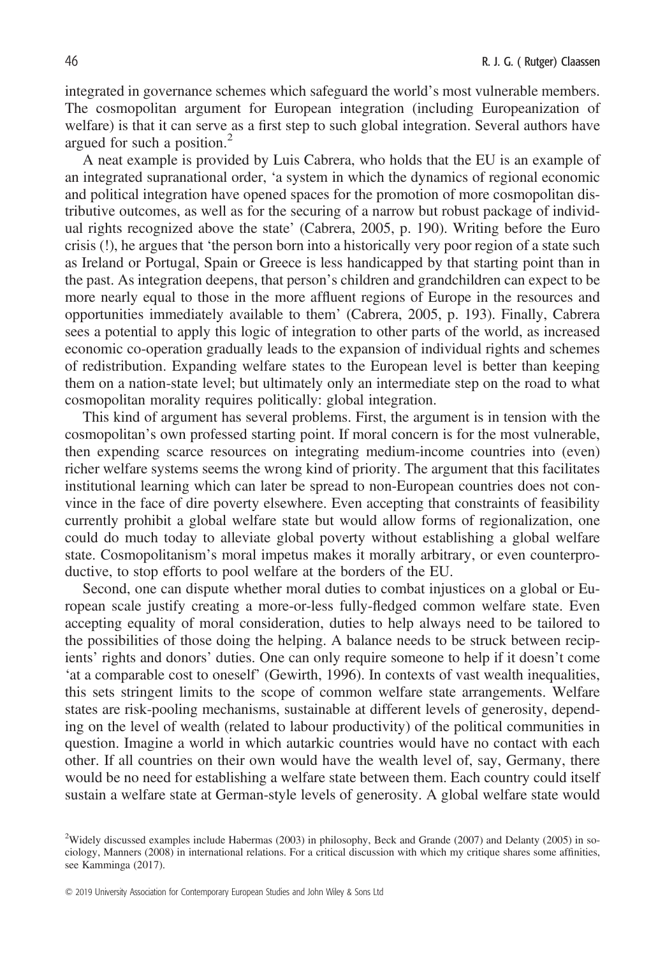integrated in governance schemes which safeguard the world's most vulnerable members. The cosmopolitan argument for European integration (including Europeanization of welfare) is that it can serve as a first step to such global integration. Several authors have argued for such a position.<sup>2</sup>

A neat example is provided by Luis Cabrera, who holds that the EU is an example of an integrated supranational order, 'a system in which the dynamics of regional economic and political integration have opened spaces for the promotion of more cosmopolitan distributive outcomes, as well as for the securing of a narrow but robust package of individual rights recognized above the state' (Cabrera, 2005, p. 190). Writing before the Euro crisis (!), he argues that 'the person born into a historically very poor region of a state such as Ireland or Portugal, Spain or Greece is less handicapped by that starting point than in the past. As integration deepens, that person's children and grandchildren can expect to be more nearly equal to those in the more affluent regions of Europe in the resources and opportunities immediately available to them' (Cabrera, 2005, p. 193). Finally, Cabrera sees a potential to apply this logic of integration to other parts of the world, as increased economic co-operation gradually leads to the expansion of individual rights and schemes of redistribution. Expanding welfare states to the European level is better than keeping them on a nation-state level; but ultimately only an intermediate step on the road to what cosmopolitan morality requires politically: global integration.

This kind of argument has several problems. First, the argument is in tension with the cosmopolitan's own professed starting point. If moral concern is for the most vulnerable, then expending scarce resources on integrating medium-income countries into (even) richer welfare systems seems the wrong kind of priority. The argument that this facilitates institutional learning which can later be spread to non-European countries does not convince in the face of dire poverty elsewhere. Even accepting that constraints of feasibility currently prohibit a global welfare state but would allow forms of regionalization, one could do much today to alleviate global poverty without establishing a global welfare state. Cosmopolitanism's moral impetus makes it morally arbitrary, or even counterproductive, to stop efforts to pool welfare at the borders of the EU.

Second, one can dispute whether moral duties to combat injustices on a global or European scale justify creating a more-or-less fully-fledged common welfare state. Even accepting equality of moral consideration, duties to help always need to be tailored to the possibilities of those doing the helping. A balance needs to be struck between recipients' rights and donors' duties. One can only require someone to help if it doesn't come 'at a comparable cost to oneself' (Gewirth, 1996). In contexts of vast wealth inequalities, this sets stringent limits to the scope of common welfare state arrangements. Welfare states are risk-pooling mechanisms, sustainable at different levels of generosity, depending on the level of wealth (related to labour productivity) of the political communities in question. Imagine a world in which autarkic countries would have no contact with each other. If all countries on their own would have the wealth level of, say, Germany, there would be no need for establishing a welfare state between them. Each country could itself sustain a welfare state at German-style levels of generosity. A global welfare state would

<sup>2</sup> Widely discussed examples include Habermas (2003) in philosophy, Beck and Grande (2007) and Delanty (2005) in sociology, Manners (2008) in international relations. For a critical discussion with which my critique shares some affinities, see Kamminga (2017).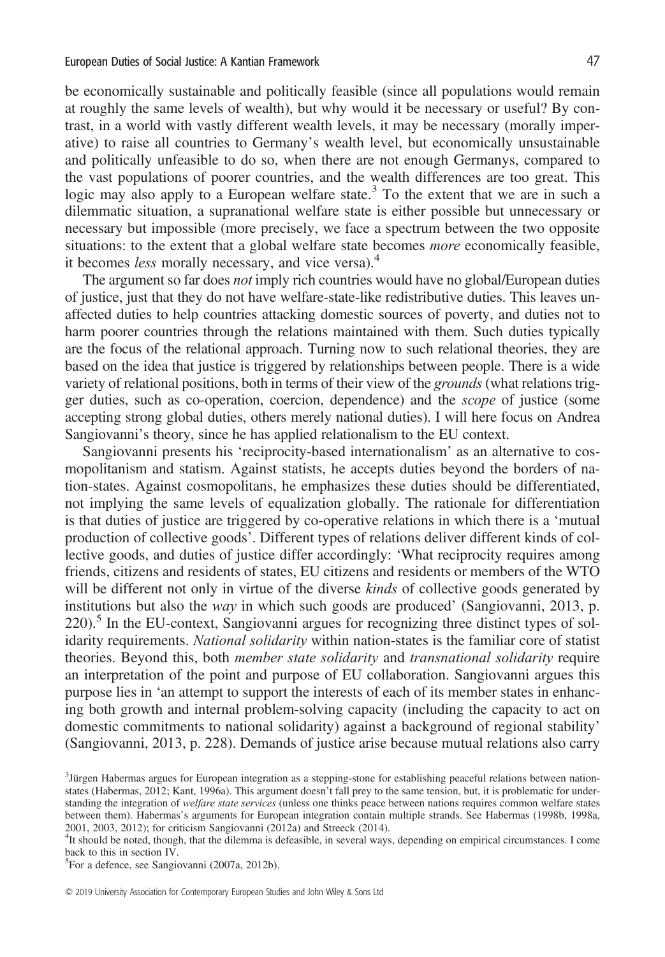be economically sustainable and politically feasible (since all populations would remain at roughly the same levels of wealth), but why would it be necessary or useful? By contrast, in a world with vastly different wealth levels, it may be necessary (morally imperative) to raise all countries to Germany's wealth level, but economically unsustainable and politically unfeasible to do so, when there are not enough Germanys, compared to the vast populations of poorer countries, and the wealth differences are too great. This logic may also apply to a European welfare state.<sup>3</sup> To the extent that we are in such a dilemmatic situation, a supranational welfare state is either possible but unnecessary or necessary but impossible (more precisely, we face a spectrum between the two opposite situations: to the extent that a global welfare state becomes more economically feasible, it becomes *less* morally necessary, and vice versa).<sup>4</sup>

The argument so far does *not* imply rich countries would have no global/European duties of justice, just that they do not have welfare-state-like redistributive duties. This leaves unaffected duties to help countries attacking domestic sources of poverty, and duties not to harm poorer countries through the relations maintained with them. Such duties typically are the focus of the relational approach. Turning now to such relational theories, they are based on the idea that justice is triggered by relationships between people. There is a wide variety of relational positions, both in terms of their view of the *grounds* (what relations trigger duties, such as co-operation, coercion, dependence) and the scope of justice (some accepting strong global duties, others merely national duties). I will here focus on Andrea Sangiovanni's theory, since he has applied relationalism to the EU context.

Sangiovanni presents his 'reciprocity-based internationalism' as an alternative to cosmopolitanism and statism. Against statists, he accepts duties beyond the borders of nation-states. Against cosmopolitans, he emphasizes these duties should be differentiated, not implying the same levels of equalization globally. The rationale for differentiation is that duties of justice are triggered by co-operative relations in which there is a 'mutual production of collective goods'. Different types of relations deliver different kinds of collective goods, and duties of justice differ accordingly: 'What reciprocity requires among friends, citizens and residents of states, EU citizens and residents or members of the WTO will be different not only in virtue of the diverse *kinds* of collective goods generated by institutions but also the way in which such goods are produced' (Sangiovanni, 2013, p.  $220$ <sup>5</sup>. In the EU-context, Sangiovanni argues for recognizing three distinct types of solidarity requirements. National solidarity within nation-states is the familiar core of statist theories. Beyond this, both *member state solidarity* and *transnational solidarity* require an interpretation of the point and purpose of EU collaboration. Sangiovanni argues this purpose lies in 'an attempt to support the interests of each of its member states in enhancing both growth and internal problem-solving capacity (including the capacity to act on domestic commitments to national solidarity) against a background of regional stability' (Sangiovanni, 2013, p. 228). Demands of justice arise because mutual relations also carry

5 For a defence, see Sangiovanni (2007a, 2012b).

<sup>3</sup> Jürgen Habermas argues for European integration as a stepping-stone for establishing peaceful relations between nationstates (Habermas, 2012; Kant, 1996a). This argument doesn't fall prey to the same tension, but, it is problematic for understanding the integration of *welfare state services* (unless one thinks peace between nations requires common welfare states between them). Habermas's arguments for European integration contain multiple strands. See Habermas (1998b, 1998a, 2001, 2003, 2012); for criticism Sangiovanni (2012a) and Streeck (2014).

<sup>4</sup> It should be noted, though, that the dilemma is defeasible, in several ways, depending on empirical circumstances. I come back to this in section IV.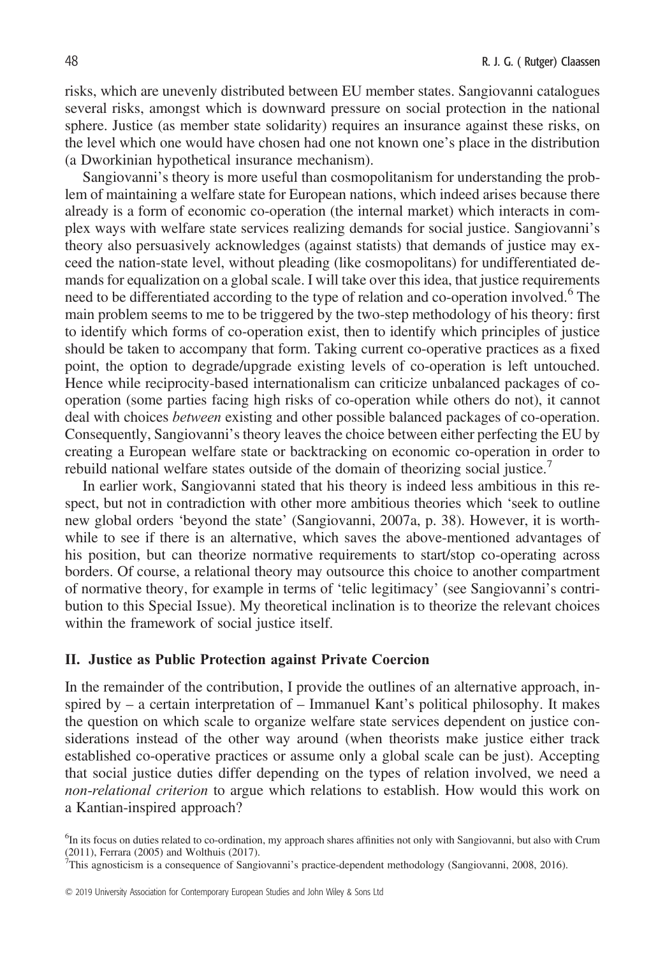risks, which are unevenly distributed between EU member states. Sangiovanni catalogues several risks, amongst which is downward pressure on social protection in the national sphere. Justice (as member state solidarity) requires an insurance against these risks, on the level which one would have chosen had one not known one's place in the distribution (a Dworkinian hypothetical insurance mechanism).

Sangiovanni's theory is more useful than cosmopolitanism for understanding the problem of maintaining a welfare state for European nations, which indeed arises because there already is a form of economic co-operation (the internal market) which interacts in complex ways with welfare state services realizing demands for social justice. Sangiovanni's theory also persuasively acknowledges (against statists) that demands of justice may exceed the nation-state level, without pleading (like cosmopolitans) for undifferentiated demands for equalization on a global scale. I will take over this idea, that justice requirements need to be differentiated according to the type of relation and co-operation involved.<sup>6</sup> The main problem seems to me to be triggered by the two-step methodology of his theory: first to identify which forms of co-operation exist, then to identify which principles of justice should be taken to accompany that form. Taking current co-operative practices as a fixed point, the option to degrade/upgrade existing levels of co-operation is left untouched. Hence while reciprocity-based internationalism can criticize unbalanced packages of cooperation (some parties facing high risks of co-operation while others do not), it cannot deal with choices between existing and other possible balanced packages of co-operation. Consequently, Sangiovanni's theory leaves the choice between either perfecting the EU by creating a European welfare state or backtracking on economic co-operation in order to rebuild national welfare states outside of the domain of theorizing social justice.<sup>7</sup>

In earlier work, Sangiovanni stated that his theory is indeed less ambitious in this respect, but not in contradiction with other more ambitious theories which 'seek to outline new global orders 'beyond the state' (Sangiovanni, 2007a, p. 38). However, it is worthwhile to see if there is an alternative, which saves the above-mentioned advantages of his position, but can theorize normative requirements to start/stop co-operating across borders. Of course, a relational theory may outsource this choice to another compartment of normative theory, for example in terms of 'telic legitimacy' (see Sangiovanni's contribution to this Special Issue). My theoretical inclination is to theorize the relevant choices within the framework of social justice itself.

#### II. Justice as Public Protection against Private Coercion

In the remainder of the contribution, I provide the outlines of an alternative approach, inspired by – a certain interpretation of – Immanuel Kant's political philosophy. It makes the question on which scale to organize welfare state services dependent on justice considerations instead of the other way around (when theorists make justice either track established co-operative practices or assume only a global scale can be just). Accepting that social justice duties differ depending on the types of relation involved, we need a non-relational criterion to argue which relations to establish. How would this work on a Kantian-inspired approach?

<sup>&</sup>lt;sup>6</sup>In its focus on duties related to co-ordination, my approach shares affinities not only with Sangiovanni, but also with Crum (2011), Ferrara (2005) and Wolthuis (2017).

<sup>7</sup> This agnosticism is a consequence of Sangiovanni's practice-dependent methodology (Sangiovanni, 2008, 2016).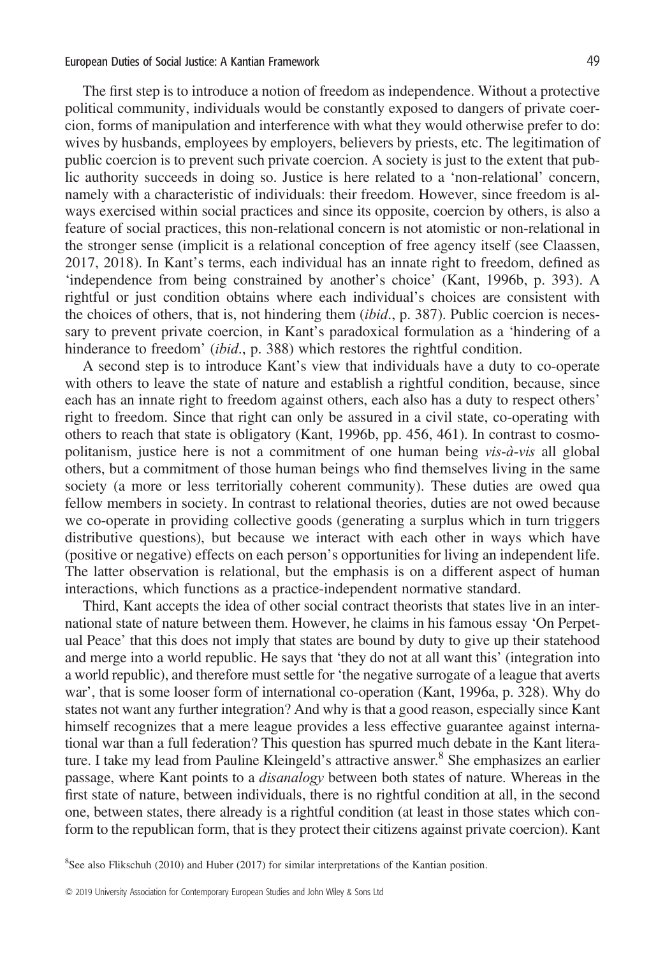The first step is to introduce a notion of freedom as independence. Without a protective political community, individuals would be constantly exposed to dangers of private coercion, forms of manipulation and interference with what they would otherwise prefer to do: wives by husbands, employees by employers, believers by priests, etc. The legitimation of public coercion is to prevent such private coercion. A society is just to the extent that public authority succeeds in doing so. Justice is here related to a 'non-relational' concern, namely with a characteristic of individuals: their freedom. However, since freedom is always exercised within social practices and since its opposite, coercion by others, is also a feature of social practices, this non-relational concern is not atomistic or non-relational in the stronger sense (implicit is a relational conception of free agency itself (see Claassen, 2017, 2018). In Kant's terms, each individual has an innate right to freedom, defined as 'independence from being constrained by another's choice' (Kant, 1996b, p. 393). A rightful or just condition obtains where each individual's choices are consistent with the choices of others, that is, not hindering them *(ibid., p.* 387). Public coercion is necessary to prevent private coercion, in Kant's paradoxical formulation as a 'hindering of a hinderance to freedom' *(ibid., p.* 388) which restores the rightful condition.

A second step is to introduce Kant's view that individuals have a duty to co-operate with others to leave the state of nature and establish a rightful condition, because, since each has an innate right to freedom against others, each also has a duty to respect others' right to freedom. Since that right can only be assured in a civil state, co-operating with others to reach that state is obligatory (Kant, 1996b, pp. 456, 461). In contrast to cosmopolitanism, justice here is not a commitment of one human being  $vis-\hat{a}-vis$  all global others, but a commitment of those human beings who find themselves living in the same society (a more or less territorially coherent community). These duties are owed qua fellow members in society. In contrast to relational theories, duties are not owed because we co-operate in providing collective goods (generating a surplus which in turn triggers distributive questions), but because we interact with each other in ways which have (positive or negative) effects on each person's opportunities for living an independent life. The latter observation is relational, but the emphasis is on a different aspect of human interactions, which functions as a practice-independent normative standard.

Third, Kant accepts the idea of other social contract theorists that states live in an international state of nature between them. However, he claims in his famous essay 'On Perpetual Peace' that this does not imply that states are bound by duty to give up their statehood and merge into a world republic. He says that 'they do not at all want this' (integration into a world republic), and therefore must settle for 'the negative surrogate of a league that averts war', that is some looser form of international co-operation (Kant, 1996a, p. 328). Why do states not want any further integration? And why is that a good reason, especially since Kant himself recognizes that a mere league provides a less effective guarantee against international war than a full federation? This question has spurred much debate in the Kant literature. I take my lead from Pauline Kleingeld's attractive answer.<sup>8</sup> She emphasizes an earlier passage, where Kant points to a disanalogy between both states of nature. Whereas in the first state of nature, between individuals, there is no rightful condition at all, in the second one, between states, there already is a rightful condition (at least in those states which conform to the republican form, that is they protect their citizens against private coercion). Kant

<sup>&</sup>lt;sup>8</sup>See also Flikschuh (2010) and Huber (2017) for similar interpretations of the Kantian position.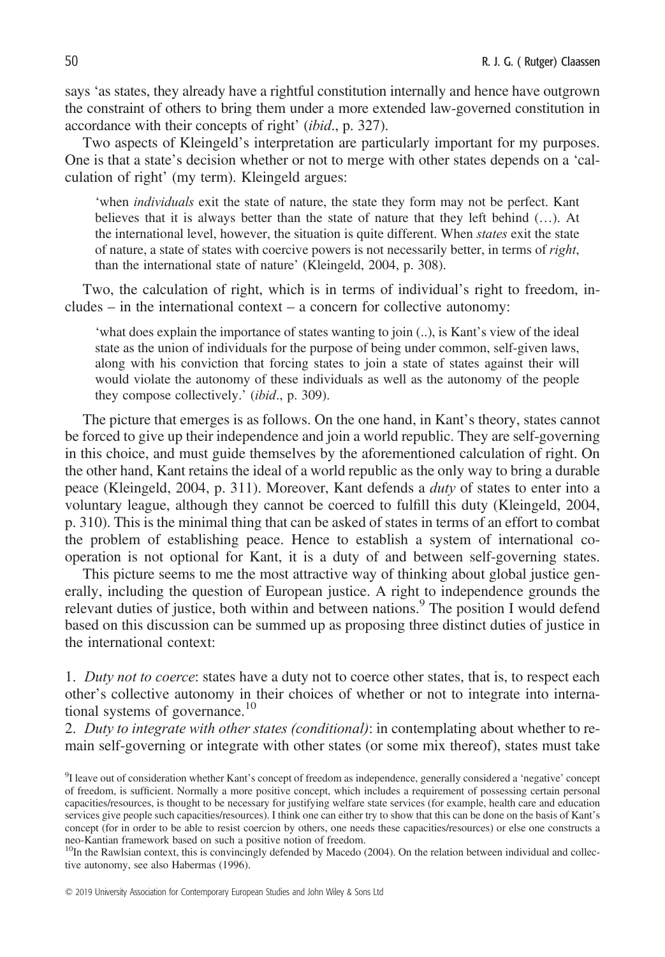says 'as states, they already have a rightful constitution internally and hence have outgrown the constraint of others to bring them under a more extended law-governed constitution in accordance with their concepts of right' (ibid., p. 327).

Two aspects of Kleingeld's interpretation are particularly important for my purposes. One is that a state's decision whether or not to merge with other states depends on a 'calculation of right' (my term). Kleingeld argues:

'when individuals exit the state of nature, the state they form may not be perfect. Kant believes that it is always better than the state of nature that they left behind (…). At the international level, however, the situation is quite different. When *states* exit the state of nature, a state of states with coercive powers is not necessarily better, in terms of right, than the international state of nature' (Kleingeld, 2004, p. 308).

Two, the calculation of right, which is in terms of individual's right to freedom, includes – in the international context – a concern for collective autonomy:

'what does explain the importance of states wanting to join (..), is Kant's view of the ideal state as the union of individuals for the purpose of being under common, self-given laws, along with his conviction that forcing states to join a state of states against their will would violate the autonomy of these individuals as well as the autonomy of the people they compose collectively.' (ibid., p. 309).

The picture that emerges is as follows. On the one hand, in Kant's theory, states cannot be forced to give up their independence and join a world republic. They are self-governing in this choice, and must guide themselves by the aforementioned calculation of right. On the other hand, Kant retains the ideal of a world republic as the only way to bring a durable peace (Kleingeld, 2004, p. 311). Moreover, Kant defends a duty of states to enter into a voluntary league, although they cannot be coerced to fulfill this duty (Kleingeld, 2004, p. 310). This is the minimal thing that can be asked of states in terms of an effort to combat the problem of establishing peace. Hence to establish a system of international cooperation is not optional for Kant, it is a duty of and between self-governing states.

This picture seems to me the most attractive way of thinking about global justice generally, including the question of European justice. A right to independence grounds the relevant duties of justice, both within and between nations.<sup>9</sup> The position I would defend based on this discussion can be summed up as proposing three distinct duties of justice in the international context:

1. Duty not to coerce: states have a duty not to coerce other states, that is, to respect each other's collective autonomy in their choices of whether or not to integrate into international systems of governance.<sup>10</sup>

2. Duty to integrate with other states (conditional): in contemplating about whether to remain self-governing or integrate with other states (or some mix thereof), states must take

<sup>&</sup>lt;sup>9</sup>I leave out of consideration whether Kant's concept of freedom as independence, generally considered a 'negative' concept of freedom, is sufficient. Normally a more positive concept, which includes a requirement of possessing certain personal capacities/resources, is thought to be necessary for justifying welfare state services (for example, health care and education services give people such capacities/resources). I think one can either try to show that this can be done on the basis of Kant's concept (for in order to be able to resist coercion by others, one needs these capacities/resources) or else one constructs a neo-Kantian framework based on such a positive notion of freedom.

 $10$ In the Rawlsian context, this is convincingly defended by Macedo (2004). On the relation between individual and collective autonomy, see also Habermas (1996).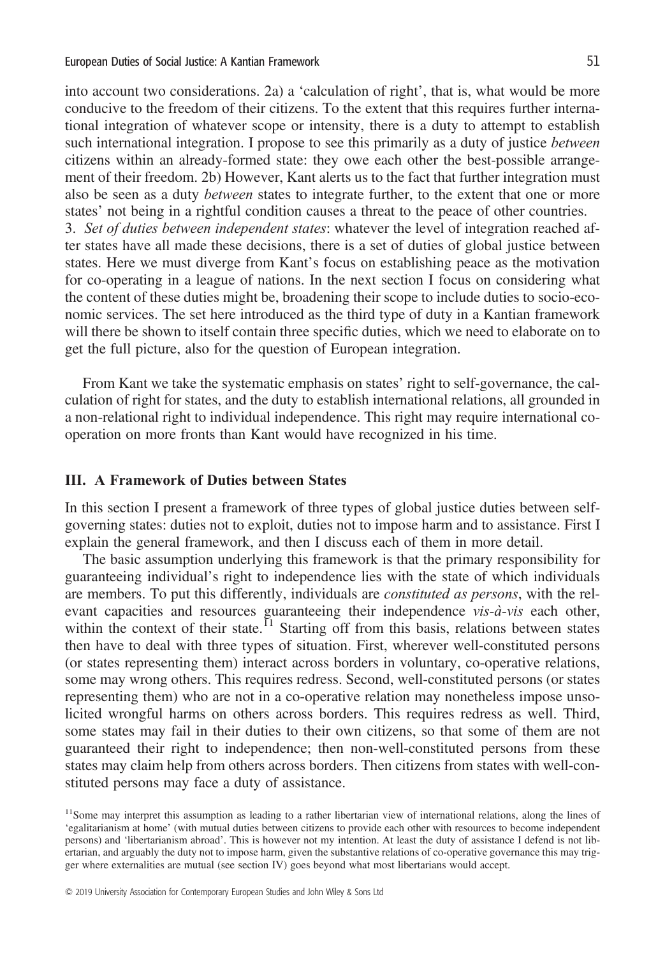into account two considerations. 2a) a 'calculation of right', that is, what would be more conducive to the freedom of their citizens. To the extent that this requires further international integration of whatever scope or intensity, there is a duty to attempt to establish such international integration. I propose to see this primarily as a duty of justice *between* citizens within an already-formed state: they owe each other the best-possible arrangement of their freedom. 2b) However, Kant alerts us to the fact that further integration must also be seen as a duty between states to integrate further, to the extent that one or more states' not being in a rightful condition causes a threat to the peace of other countries.

3. Set of duties between independent states: whatever the level of integration reached after states have all made these decisions, there is a set of duties of global justice between states. Here we must diverge from Kant's focus on establishing peace as the motivation for co-operating in a league of nations. In the next section I focus on considering what the content of these duties might be, broadening their scope to include duties to socio-economic services. The set here introduced as the third type of duty in a Kantian framework will there be shown to itself contain three specific duties, which we need to elaborate on to get the full picture, also for the question of European integration.

From Kant we take the systematic emphasis on states' right to self-governance, the calculation of right for states, and the duty to establish international relations, all grounded in a non-relational right to individual independence. This right may require international cooperation on more fronts than Kant would have recognized in his time.

## III. A Framework of Duties between States

In this section I present a framework of three types of global justice duties between selfgoverning states: duties not to exploit, duties not to impose harm and to assistance. First I explain the general framework, and then I discuss each of them in more detail.

The basic assumption underlying this framework is that the primary responsibility for guaranteeing individual's right to independence lies with the state of which individuals are members. To put this differently, individuals are constituted as persons, with the relevant capacities and resources guaranteeing their independence vis-à-vis each other, within the context of their state.<sup> $11$ </sup> Starting off from this basis, relations between states then have to deal with three types of situation. First, wherever well-constituted persons (or states representing them) interact across borders in voluntary, co-operative relations, some may wrong others. This requires redress. Second, well-constituted persons (or states representing them) who are not in a co-operative relation may nonetheless impose unsolicited wrongful harms on others across borders. This requires redress as well. Third, some states may fail in their duties to their own citizens, so that some of them are not guaranteed their right to independence; then non-well-constituted persons from these states may claim help from others across borders. Then citizens from states with well-constituted persons may face a duty of assistance.

<sup>&</sup>lt;sup>11</sup>Some may interpret this assumption as leading to a rather libertarian view of international relations, along the lines of 'egalitarianism at home' (with mutual duties between citizens to provide each other with resources to become independent persons) and 'libertarianism abroad'. This is however not my intention. At least the duty of assistance I defend is not libertarian, and arguably the duty not to impose harm, given the substantive relations of co-operative governance this may trigger where externalities are mutual (see section IV) goes beyond what most libertarians would accept.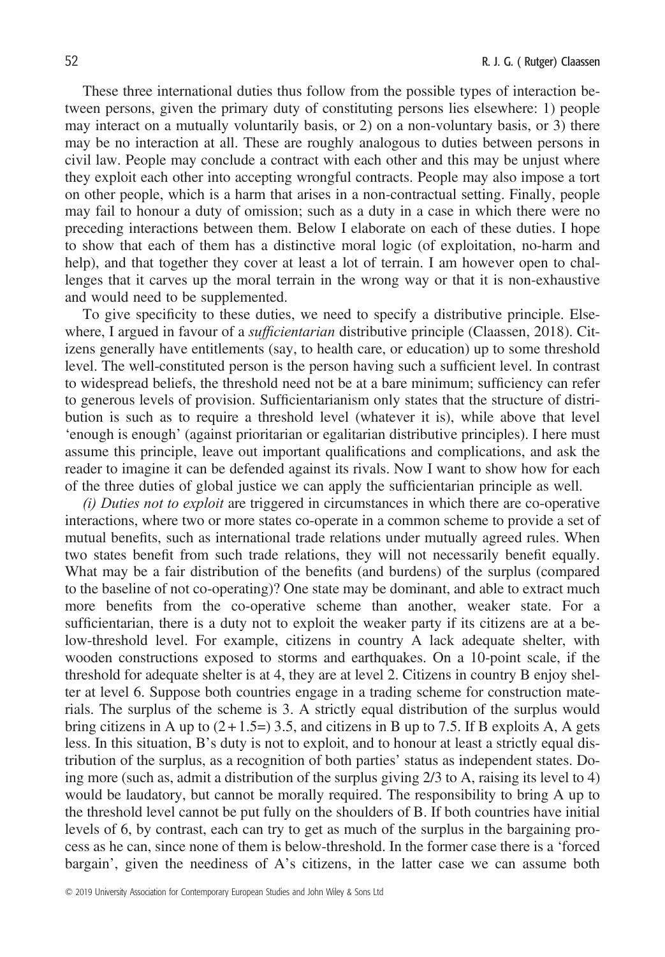These three international duties thus follow from the possible types of interaction between persons, given the primary duty of constituting persons lies elsewhere: 1) people may interact on a mutually voluntarily basis, or 2) on a non-voluntary basis, or 3) there may be no interaction at all. These are roughly analogous to duties between persons in civil law. People may conclude a contract with each other and this may be unjust where they exploit each other into accepting wrongful contracts. People may also impose a tort on other people, which is a harm that arises in a non-contractual setting. Finally, people may fail to honour a duty of omission; such as a duty in a case in which there were no preceding interactions between them. Below I elaborate on each of these duties. I hope to show that each of them has a distinctive moral logic (of exploitation, no-harm and help), and that together they cover at least a lot of terrain. I am however open to challenges that it carves up the moral terrain in the wrong way or that it is non-exhaustive and would need to be supplemented.

To give specificity to these duties, we need to specify a distributive principle. Elsewhere, I argued in favour of a *sufficientarian* distributive principle (Claassen, 2018). Citizens generally have entitlements (say, to health care, or education) up to some threshold level. The well-constituted person is the person having such a sufficient level. In contrast to widespread beliefs, the threshold need not be at a bare minimum; sufficiency can refer to generous levels of provision. Sufficientarianism only states that the structure of distribution is such as to require a threshold level (whatever it is), while above that level 'enough is enough' (against prioritarian or egalitarian distributive principles). I here must assume this principle, leave out important qualifications and complications, and ask the reader to imagine it can be defended against its rivals. Now I want to show how for each of the three duties of global justice we can apply the sufficientarian principle as well.

(i) Duties not to exploit are triggered in circumstances in which there are co-operative interactions, where two or more states co-operate in a common scheme to provide a set of mutual benefits, such as international trade relations under mutually agreed rules. When two states benefit from such trade relations, they will not necessarily benefit equally. What may be a fair distribution of the benefits (and burdens) of the surplus (compared to the baseline of not co-operating)? One state may be dominant, and able to extract much more benefits from the co-operative scheme than another, weaker state. For a sufficientarian, there is a duty not to exploit the weaker party if its citizens are at a below-threshold level. For example, citizens in country A lack adequate shelter, with wooden constructions exposed to storms and earthquakes. On a 10-point scale, if the threshold for adequate shelter is at 4, they are at level 2. Citizens in country B enjoy shelter at level 6. Suppose both countries engage in a trading scheme for construction materials. The surplus of the scheme is 3. A strictly equal distribution of the surplus would bring citizens in A up to  $(2+1.5=)$  3.5, and citizens in B up to 7.5. If B exploits A, A gets less. In this situation, B's duty is not to exploit, and to honour at least a strictly equal distribution of the surplus, as a recognition of both parties' status as independent states. Doing more (such as, admit a distribution of the surplus giving 2/3 to A, raising its level to 4) would be laudatory, but cannot be morally required. The responsibility to bring A up to the threshold level cannot be put fully on the shoulders of B. If both countries have initial levels of 6, by contrast, each can try to get as much of the surplus in the bargaining process as he can, since none of them is below-threshold. In the former case there is a 'forced bargain', given the neediness of A's citizens, in the latter case we can assume both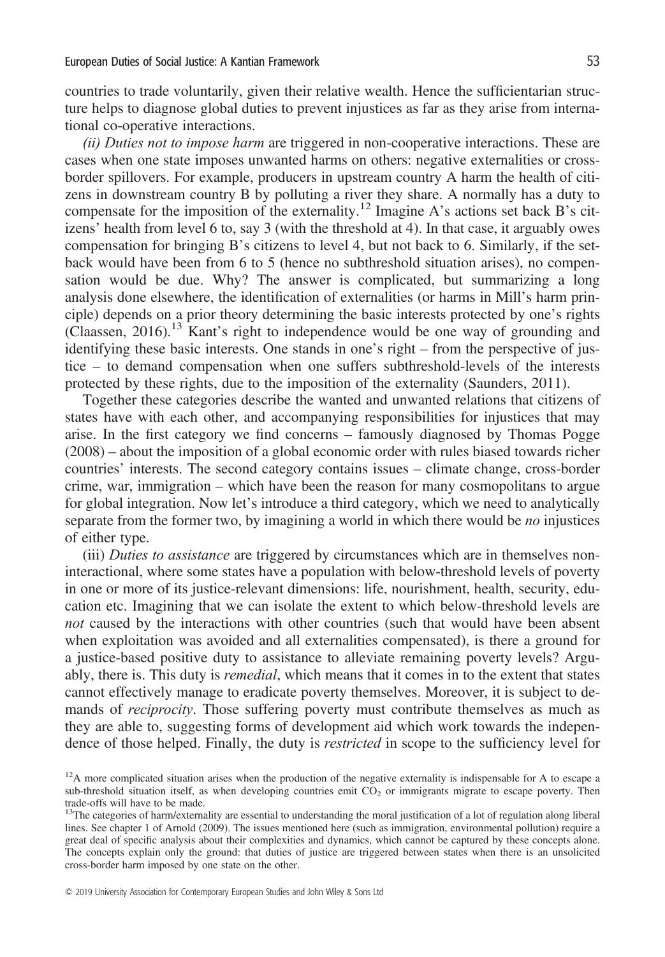countries to trade voluntarily, given their relative wealth. Hence the sufficientarian structure helps to diagnose global duties to prevent injustices as far as they arise from international co-operative interactions.

(ii) Duties not to impose harm are triggered in non-cooperative interactions. These are cases when one state imposes unwanted harms on others: negative externalities or crossborder spillovers. For example, producers in upstream country A harm the health of citizens in downstream country B by polluting a river they share. A normally has a duty to compensate for the imposition of the externality.<sup>12</sup> Imagine A's actions set back B's citizens' health from level 6 to, say 3 (with the threshold at 4). In that case, it arguably owes compensation for bringing B's citizens to level 4, but not back to 6. Similarly, if the setback would have been from 6 to 5 (hence no subthreshold situation arises), no compensation would be due. Why? The answer is complicated, but summarizing a long analysis done elsewhere, the identification of externalities (or harms in Mill's harm principle) depends on a prior theory determining the basic interests protected by one's rights (Claassen, 2016).13 Kant's right to independence would be one way of grounding and identifying these basic interests. One stands in one's right – from the perspective of justice – to demand compensation when one suffers subthreshold-levels of the interests protected by these rights, due to the imposition of the externality (Saunders, 2011).

Together these categories describe the wanted and unwanted relations that citizens of states have with each other, and accompanying responsibilities for injustices that may arise. In the first category we find concerns – famously diagnosed by Thomas Pogge (2008) – about the imposition of a global economic order with rules biased towards richer countries' interests. The second category contains issues – climate change, cross-border crime, war, immigration – which have been the reason for many cosmopolitans to argue for global integration. Now let's introduce a third category, which we need to analytically separate from the former two, by imagining a world in which there would be *no* injustices of either type.

(iii) Duties to assistance are triggered by circumstances which are in themselves noninteractional, where some states have a population with below-threshold levels of poverty in one or more of its justice-relevant dimensions: life, nourishment, health, security, education etc. Imagining that we can isolate the extent to which below-threshold levels are not caused by the interactions with other countries (such that would have been absent when exploitation was avoided and all externalities compensated), is there a ground for a justice-based positive duty to assistance to alleviate remaining poverty levels? Arguably, there is. This duty is *remedial*, which means that it comes in to the extent that states cannot effectively manage to eradicate poverty themselves. Moreover, it is subject to demands of *reciprocity*. Those suffering poverty must contribute themselves as much as they are able to, suggesting forms of development aid which work towards the independence of those helped. Finally, the duty is *restricted* in scope to the sufficiency level for

 $12A$  more complicated situation arises when the production of the negative externality is indispensable for A to escape a sub-threshold situation itself, as when developing countries emit  $CO<sub>2</sub>$  or immigrants migrate to escape poverty. Then trade-offs will have to be made.

<sup>&</sup>lt;sup>13</sup>The categories of harm/externality are essential to understanding the moral justification of a lot of regulation along liberal lines. See chapter 1 of Arnold (2009). The issues mentioned here (such as immigration, environmental pollution) require a great deal of specific analysis about their complexities and dynamics, which cannot be captured by these concepts alone. The concepts explain only the ground: that duties of justice are triggered between states when there is an unsolicited cross-border harm imposed by one state on the other.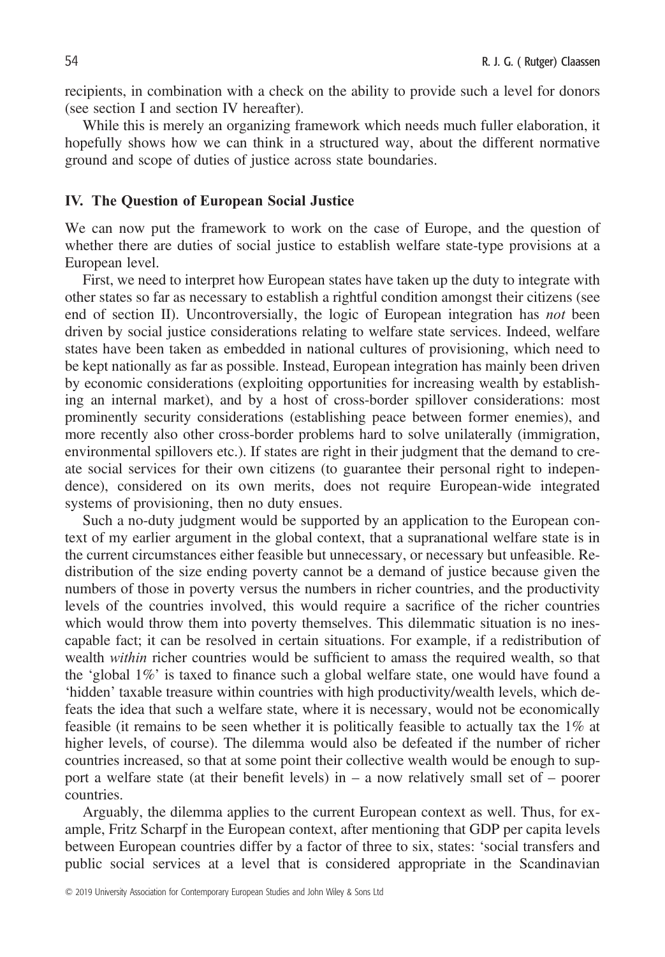recipients, in combination with a check on the ability to provide such a level for donors (see section I and section IV hereafter).

While this is merely an organizing framework which needs much fuller elaboration, it hopefully shows how we can think in a structured way, about the different normative ground and scope of duties of justice across state boundaries.

### IV. The Question of European Social Justice

We can now put the framework to work on the case of Europe, and the question of whether there are duties of social justice to establish welfare state-type provisions at a European level.

First, we need to interpret how European states have taken up the duty to integrate with other states so far as necessary to establish a rightful condition amongst their citizens (see end of section II). Uncontroversially, the logic of European integration has *not* been driven by social justice considerations relating to welfare state services. Indeed, welfare states have been taken as embedded in national cultures of provisioning, which need to be kept nationally as far as possible. Instead, European integration has mainly been driven by economic considerations (exploiting opportunities for increasing wealth by establishing an internal market), and by a host of cross-border spillover considerations: most prominently security considerations (establishing peace between former enemies), and more recently also other cross-border problems hard to solve unilaterally (immigration, environmental spillovers etc.). If states are right in their judgment that the demand to create social services for their own citizens (to guarantee their personal right to independence), considered on its own merits, does not require European-wide integrated systems of provisioning, then no duty ensues.

Such a no-duty judgment would be supported by an application to the European context of my earlier argument in the global context, that a supranational welfare state is in the current circumstances either feasible but unnecessary, or necessary but unfeasible. Redistribution of the size ending poverty cannot be a demand of justice because given the numbers of those in poverty versus the numbers in richer countries, and the productivity levels of the countries involved, this would require a sacrifice of the richer countries which would throw them into poverty themselves. This dilemmatic situation is no inescapable fact; it can be resolved in certain situations. For example, if a redistribution of wealth within richer countries would be sufficient to amass the required wealth, so that the 'global 1%' is taxed to finance such a global welfare state, one would have found a 'hidden' taxable treasure within countries with high productivity/wealth levels, which defeats the idea that such a welfare state, where it is necessary, would not be economically feasible (it remains to be seen whether it is politically feasible to actually tax the 1% at higher levels, of course). The dilemma would also be defeated if the number of richer countries increased, so that at some point their collective wealth would be enough to support a welfare state (at their benefit levels) in – a now relatively small set of – poorer countries.

Arguably, the dilemma applies to the current European context as well. Thus, for example, Fritz Scharpf in the European context, after mentioning that GDP per capita levels between European countries differ by a factor of three to six, states: 'social transfers and public social services at a level that is considered appropriate in the Scandinavian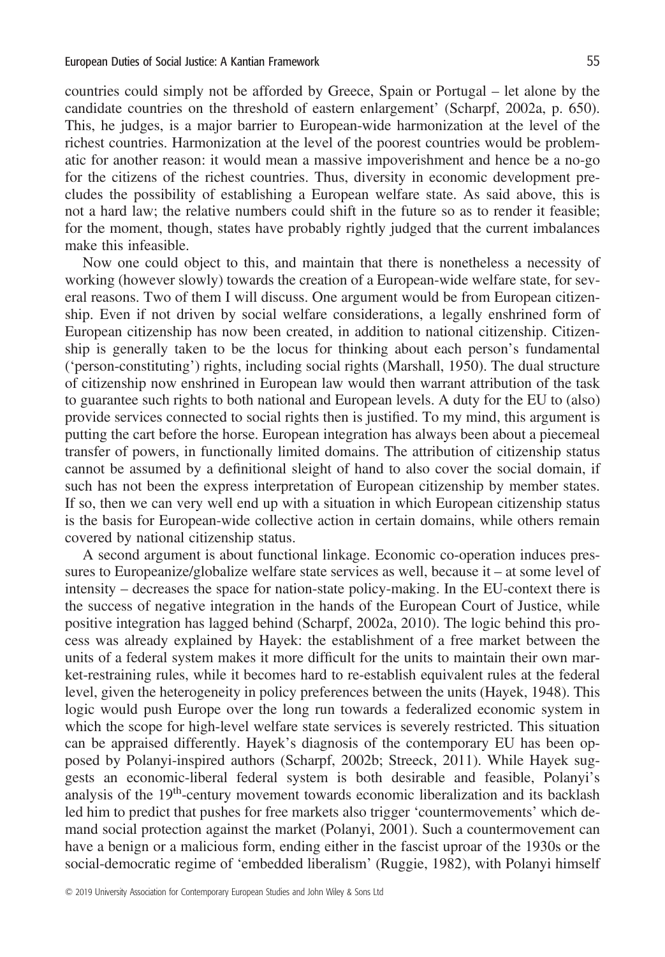countries could simply not be afforded by Greece, Spain or Portugal – let alone by the candidate countries on the threshold of eastern enlargement' (Scharpf, 2002a, p. 650). This, he judges, is a major barrier to European-wide harmonization at the level of the richest countries. Harmonization at the level of the poorest countries would be problematic for another reason: it would mean a massive impoverishment and hence be a no-go for the citizens of the richest countries. Thus, diversity in economic development precludes the possibility of establishing a European welfare state. As said above, this is not a hard law; the relative numbers could shift in the future so as to render it feasible; for the moment, though, states have probably rightly judged that the current imbalances make this infeasible.

Now one could object to this, and maintain that there is nonetheless a necessity of working (however slowly) towards the creation of a European-wide welfare state, for several reasons. Two of them I will discuss. One argument would be from European citizenship. Even if not driven by social welfare considerations, a legally enshrined form of European citizenship has now been created, in addition to national citizenship. Citizenship is generally taken to be the locus for thinking about each person's fundamental ('person-constituting') rights, including social rights (Marshall, 1950). The dual structure of citizenship now enshrined in European law would then warrant attribution of the task to guarantee such rights to both national and European levels. A duty for the EU to (also) provide services connected to social rights then is justified. To my mind, this argument is putting the cart before the horse. European integration has always been about a piecemeal transfer of powers, in functionally limited domains. The attribution of citizenship status cannot be assumed by a definitional sleight of hand to also cover the social domain, if such has not been the express interpretation of European citizenship by member states. If so, then we can very well end up with a situation in which European citizenship status is the basis for European-wide collective action in certain domains, while others remain covered by national citizenship status.

A second argument is about functional linkage. Economic co-operation induces pressures to Europeanize/globalize welfare state services as well, because it – at some level of intensity – decreases the space for nation-state policy-making. In the EU-context there is the success of negative integration in the hands of the European Court of Justice, while positive integration has lagged behind (Scharpf, 2002a, 2010). The logic behind this process was already explained by Hayek: the establishment of a free market between the units of a federal system makes it more difficult for the units to maintain their own market-restraining rules, while it becomes hard to re-establish equivalent rules at the federal level, given the heterogeneity in policy preferences between the units (Hayek, 1948). This logic would push Europe over the long run towards a federalized economic system in which the scope for high-level welfare state services is severely restricted. This situation can be appraised differently. Hayek's diagnosis of the contemporary EU has been opposed by Polanyi-inspired authors (Scharpf, 2002b; Streeck, 2011). While Hayek suggests an economic-liberal federal system is both desirable and feasible, Polanyi's analysis of the 19<sup>th</sup>-century movement towards economic liberalization and its backlash led him to predict that pushes for free markets also trigger 'countermovements' which demand social protection against the market (Polanyi, 2001). Such a countermovement can have a benign or a malicious form, ending either in the fascist uproar of the 1930s or the social-democratic regime of 'embedded liberalism' (Ruggie, 1982), with Polanyi himself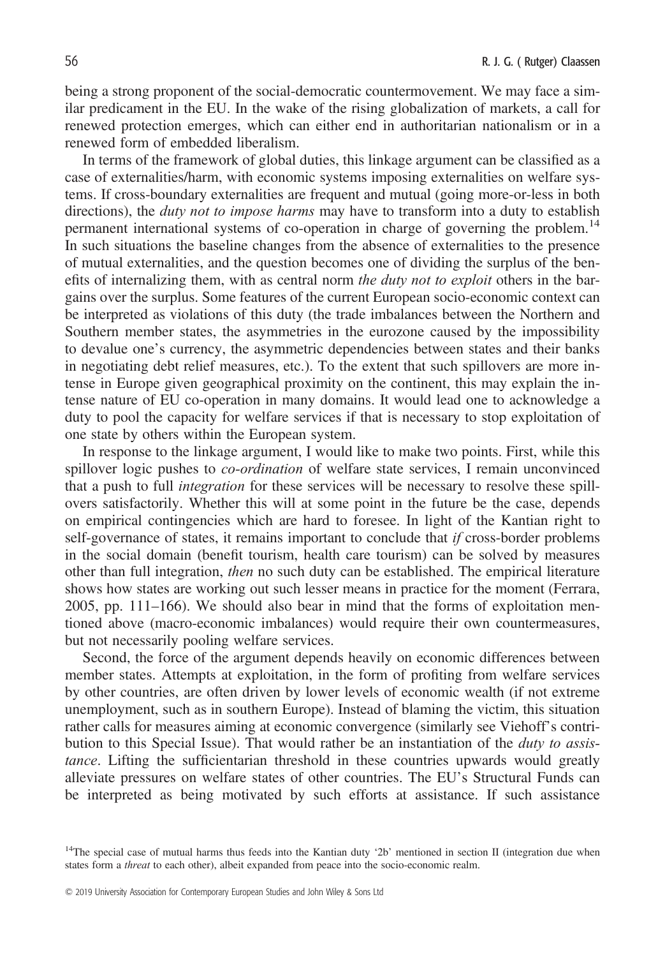being a strong proponent of the social-democratic countermovement. We may face a similar predicament in the EU. In the wake of the rising globalization of markets, a call for renewed protection emerges, which can either end in authoritarian nationalism or in a renewed form of embedded liberalism.

In terms of the framework of global duties, this linkage argument can be classified as a case of externalities/harm, with economic systems imposing externalities on welfare systems. If cross-boundary externalities are frequent and mutual (going more-or-less in both directions), the *duty not to impose harms* may have to transform into a duty to establish permanent international systems of co-operation in charge of governing the problem.<sup>14</sup> In such situations the baseline changes from the absence of externalities to the presence of mutual externalities, and the question becomes one of dividing the surplus of the benefits of internalizing them, with as central norm the duty not to exploit others in the bargains over the surplus. Some features of the current European socio-economic context can be interpreted as violations of this duty (the trade imbalances between the Northern and Southern member states, the asymmetries in the eurozone caused by the impossibility to devalue one's currency, the asymmetric dependencies between states and their banks in negotiating debt relief measures, etc.). To the extent that such spillovers are more intense in Europe given geographical proximity on the continent, this may explain the intense nature of EU co-operation in many domains. It would lead one to acknowledge a duty to pool the capacity for welfare services if that is necessary to stop exploitation of one state by others within the European system.

In response to the linkage argument, I would like to make two points. First, while this spillover logic pushes to *co-ordination* of welfare state services, I remain unconvinced that a push to full integration for these services will be necessary to resolve these spillovers satisfactorily. Whether this will at some point in the future be the case, depends on empirical contingencies which are hard to foresee. In light of the Kantian right to self-governance of states, it remains important to conclude that *if* cross-border problems in the social domain (benefit tourism, health care tourism) can be solved by measures other than full integration, then no such duty can be established. The empirical literature shows how states are working out such lesser means in practice for the moment (Ferrara, 2005, pp. 111–166). We should also bear in mind that the forms of exploitation mentioned above (macro-economic imbalances) would require their own countermeasures, but not necessarily pooling welfare services.

Second, the force of the argument depends heavily on economic differences between member states. Attempts at exploitation, in the form of profiting from welfare services by other countries, are often driven by lower levels of economic wealth (if not extreme unemployment, such as in southern Europe). Instead of blaming the victim, this situation rather calls for measures aiming at economic convergence (similarly see Viehoff's contribution to this Special Issue). That would rather be an instantiation of the *duty to assis*tance. Lifting the sufficientarian threshold in these countries upwards would greatly alleviate pressures on welfare states of other countries. The EU's Structural Funds can be interpreted as being motivated by such efforts at assistance. If such assistance

<sup>&</sup>lt;sup>14</sup>The special case of mutual harms thus feeds into the Kantian duty '2b' mentioned in section II (integration due when states form a threat to each other), albeit expanded from peace into the socio-economic realm.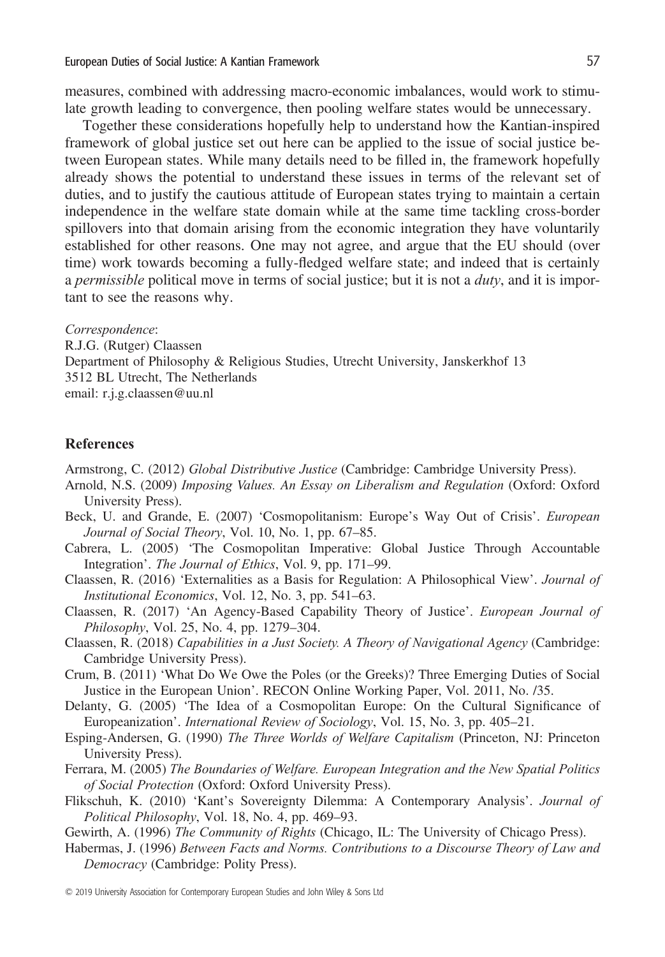measures, combined with addressing macro-economic imbalances, would work to stimulate growth leading to convergence, then pooling welfare states would be unnecessary.

Together these considerations hopefully help to understand how the Kantian-inspired framework of global justice set out here can be applied to the issue of social justice between European states. While many details need to be filled in, the framework hopefully already shows the potential to understand these issues in terms of the relevant set of duties, and to justify the cautious attitude of European states trying to maintain a certain independence in the welfare state domain while at the same time tackling cross-border spillovers into that domain arising from the economic integration they have voluntarily established for other reasons. One may not agree, and argue that the EU should (over time) work towards becoming a fully-fledged welfare state; and indeed that is certainly a *permissible* political move in terms of social justice; but it is not a  $duty$ , and it is important to see the reasons why.

Correspondence: R.J.G. (Rutger) Claassen Department of Philosophy & Religious Studies, Utrecht University, Janskerkhof 13 3512 BL Utrecht, The Netherlands email: r.j.g.claassen@uu.nl

#### **References**

- Armstrong, C. (2012) Global Distributive Justice (Cambridge: Cambridge University Press).
- Arnold, N.S. (2009) Imposing Values. An Essay on Liberalism and Regulation (Oxford: Oxford University Press).
- Beck, U. and Grande, E. (2007) 'Cosmopolitanism: Europe's Way Out of Crisis'. European Journal of Social Theory, Vol. 10, No. 1, pp. 67–85.
- Cabrera, L. (2005) 'The Cosmopolitan Imperative: Global Justice Through Accountable Integration'. The Journal of Ethics, Vol. 9, pp. 171–99.
- Claassen, R. (2016) 'Externalities as a Basis for Regulation: A Philosophical View'. Journal of Institutional Economics, Vol. 12, No. 3, pp. 541–63.
- Claassen, R. (2017) 'An Agency-Based Capability Theory of Justice'. European Journal of Philosophy, Vol. 25, No. 4, pp. 1279–304.
- Claassen, R. (2018) Capabilities in a Just Society. A Theory of Navigational Agency (Cambridge: Cambridge University Press).
- Crum, B. (2011) 'What Do We Owe the Poles (or the Greeks)? Three Emerging Duties of Social Justice in the European Union'. RECON Online Working Paper, Vol. 2011, No. /35.
- Delanty, G. (2005) 'The Idea of a Cosmopolitan Europe: On the Cultural Significance of Europeanization'. International Review of Sociology, Vol. 15, No. 3, pp. 405–21.
- Esping-Andersen, G. (1990) The Three Worlds of Welfare Capitalism (Princeton, NJ: Princeton University Press).
- Ferrara, M. (2005) The Boundaries of Welfare. European Integration and the New Spatial Politics of Social Protection (Oxford: Oxford University Press).
- Flikschuh, K. (2010) 'Kant's Sovereignty Dilemma: A Contemporary Analysis'. Journal of Political Philosophy, Vol. 18, No. 4, pp. 469–93.
- Gewirth, A. (1996) The Community of Rights (Chicago, IL: The University of Chicago Press).
- Habermas, J. (1996) Between Facts and Norms. Contributions to a Discourse Theory of Law and Democracy (Cambridge: Polity Press).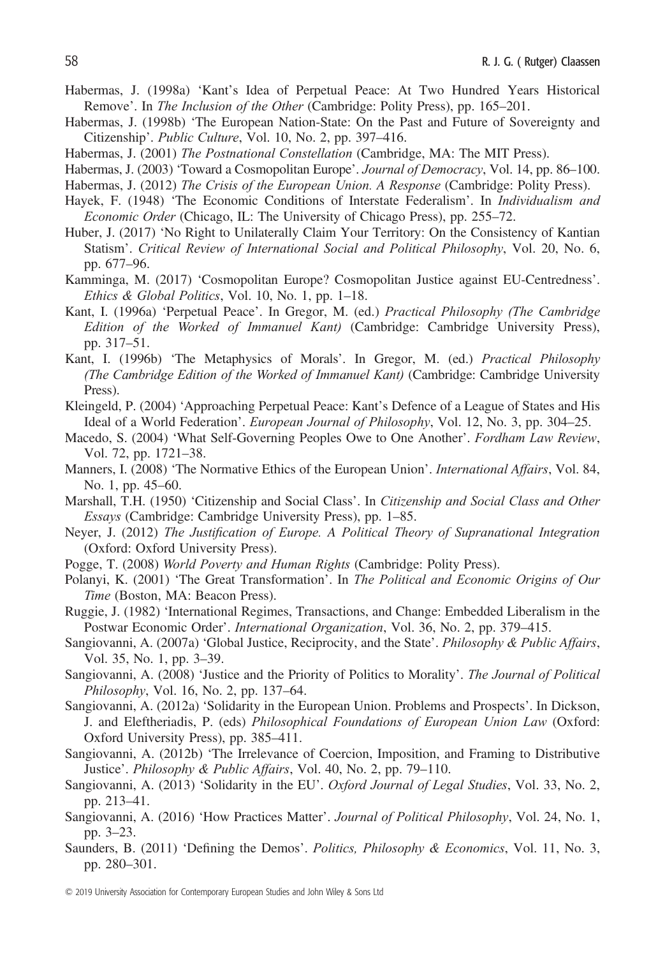- Habermas, J. (1998a) 'Kant's Idea of Perpetual Peace: At Two Hundred Years Historical Remove'. In The Inclusion of the Other (Cambridge: Polity Press), pp. 165–201.
- Habermas, J. (1998b) 'The European Nation-State: On the Past and Future of Sovereignty and Citizenship'. Public Culture, Vol. 10, No. 2, pp. 397–416.
- Habermas, J. (2001) The Postnational Constellation (Cambridge, MA: The MIT Press).
- Habermas, J. (2003) 'Toward a Cosmopolitan Europe'. Journal of Democracy, Vol. 14, pp. 86–100.
- Habermas, J. (2012) The Crisis of the European Union. A Response (Cambridge: Polity Press).
- Hayek, F. (1948) 'The Economic Conditions of Interstate Federalism'. In *Individualism and* Economic Order (Chicago, IL: The University of Chicago Press), pp. 255–72.
- Huber, J. (2017) 'No Right to Unilaterally Claim Your Territory: On the Consistency of Kantian Statism'. Critical Review of International Social and Political Philosophy, Vol. 20, No. 6, pp. 677–96.
- Kamminga, M. (2017) 'Cosmopolitan Europe? Cosmopolitan Justice against EU-Centredness'. Ethics & Global Politics, Vol. 10, No. 1, pp. 1–18.
- Kant, I. (1996a) 'Perpetual Peace'. In Gregor, M. (ed.) Practical Philosophy (The Cambridge Edition of the Worked of Immanuel Kant) (Cambridge: Cambridge University Press), pp. 317–51.
- Kant, I. (1996b) 'The Metaphysics of Morals'. In Gregor, M. (ed.) Practical Philosophy (The Cambridge Edition of the Worked of Immanuel Kant) (Cambridge: Cambridge University Press).
- Kleingeld, P. (2004) 'Approaching Perpetual Peace: Kant's Defence of a League of States and His Ideal of a World Federation'. European Journal of Philosophy, Vol. 12, No. 3, pp. 304–25.
- Macedo, S. (2004) 'What Self-Governing Peoples Owe to One Another'. Fordham Law Review, Vol. 72, pp. 1721–38.
- Manners, I. (2008) 'The Normative Ethics of the European Union'. International Affairs, Vol. 84, No. 1, pp. 45–60.
- Marshall, T.H. (1950) 'Citizenship and Social Class'. In Citizenship and Social Class and Other Essays (Cambridge: Cambridge University Press), pp. 1–85.
- Neyer, J. (2012) The Justification of Europe. A Political Theory of Supranational Integration (Oxford: Oxford University Press).
- Pogge, T. (2008) World Poverty and Human Rights (Cambridge: Polity Press).
- Polanyi, K. (2001) 'The Great Transformation'. In The Political and Economic Origins of Our Time (Boston, MA: Beacon Press).
- Ruggie, J. (1982) 'International Regimes, Transactions, and Change: Embedded Liberalism in the Postwar Economic Order'. International Organization, Vol. 36, No. 2, pp. 379–415.
- Sangiovanni, A. (2007a) 'Global Justice, Reciprocity, and the State'. Philosophy & Public Affairs, Vol. 35, No. 1, pp. 3–39.
- Sangiovanni, A. (2008) 'Justice and the Priority of Politics to Morality'. The Journal of Political Philosophy, Vol. 16, No. 2, pp. 137–64.
- Sangiovanni, A. (2012a) 'Solidarity in the European Union. Problems and Prospects'. In Dickson, J. and Eleftheriadis, P. (eds) Philosophical Foundations of European Union Law (Oxford: Oxford University Press), pp. 385–411.
- Sangiovanni, A. (2012b) 'The Irrelevance of Coercion, Imposition, and Framing to Distributive Justice'. Philosophy & Public Affairs, Vol. 40, No. 2, pp. 79–110.
- Sangiovanni, A. (2013) 'Solidarity in the EU'. Oxford Journal of Legal Studies, Vol. 33, No. 2, pp. 213–41.
- Sangiovanni, A. (2016) 'How Practices Matter'. Journal of Political Philosophy, Vol. 24, No. 1, pp. 3–23.
- Saunders, B. (2011) 'Defining the Demos'. Politics, Philosophy & Economics, Vol. 11, No. 3, pp. 280–301.